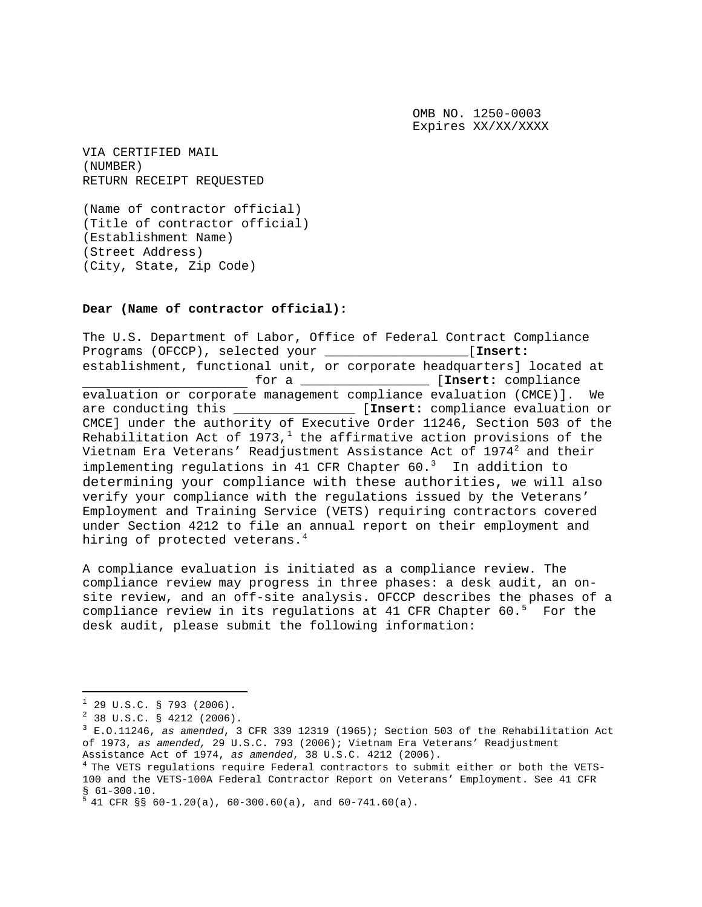OMB NO. 1250-0003 Expires XX/XX/XXXX

VIA CERTIFIED MAIL (NUMBER) RETURN RECEIPT REQUESTED

(Name of contractor official) (Title of contractor official) (Establishment Name) (Street Address) (City, State, Zip Code)

## **Dear (Name of contractor official):**

The U.S. Department of Labor, Office of Federal Contract Compliance Programs (OFCCP), selected your \_\_\_\_\_\_\_\_\_\_\_\_\_\_\_\_\_\_\_[**Insert:** establishment, functional unit, or corporate headquarters] located at<br>for a \_\_\_\_\_\_\_\_\_\_\_\_\_\_\_\_\_\_\_\_ [Insert: compliance for a \_\_\_\_\_\_\_\_\_\_\_\_\_\_\_\_\_ [**Insert:** compliance evaluation or corporate management compliance evaluation (CMCE)]. We are conducting this \_\_\_\_\_\_\_\_\_\_\_\_\_\_\_\_ [**Insert:** compliance evaluation or CMCE] under the authority of Executive Order 11246, Section 503 of the Rehabilitation Act of [1](#page-0-0)973, $<sup>1</sup>$  the affirmative action provisions of the</sup> Vietnam Era Veterans' Readjustment Assistance Act of  $1974^2$  $1974^2$  and their implementing regulations in 41 CFR Chapter  $60.^3$  $60.^3$  In addition to determining your compliance with these authorities, we will also verify your compliance with the regulations issued by the Veterans' Employment and Training Service (VETS) requiring contractors covered under Section 4212 to file an annual report on their employment and hiring of protected veterans.<sup>[4](#page-0-3)</sup>

A compliance evaluation is initiated as a compliance review. The compliance review may progress in three phases: a desk audit, an onsite review, and an off-site analysis. OFCCP describes the phases of a compliance review in its regulations at  $41$  CFR Chapter  $60.^5$  $60.^5$  For the desk audit, please submit the following information:

<span id="page-0-0"></span> $1$  29 U.S.C. § 793 (2006).

<span id="page-0-2"></span><span id="page-0-1"></span> $^{2}$  38 U.S.C. § 4212 (2006).<br><sup>3</sup> E.O.11246, *as amended*, 3 CFR 339 12319 (1965); Section 503 of the Rehabilitation Act of 1973, *as amended,* 29 U.S.C. 793 (2006); Vietnam Era Veterans' Readjustment

<span id="page-0-3"></span><sup>&</sup>lt;sup>4</sup> The VETS regulations require Federal contractors to submit either or both the VETS-100 and the VETS-100A Federal Contractor Report on Veterans' Employment. See 41 CFR

<span id="page-0-4"></span> $\frac{5}{1}$  41 CFR §§ 60-1.20(a), 60-300.60(a), and 60-741.60(a).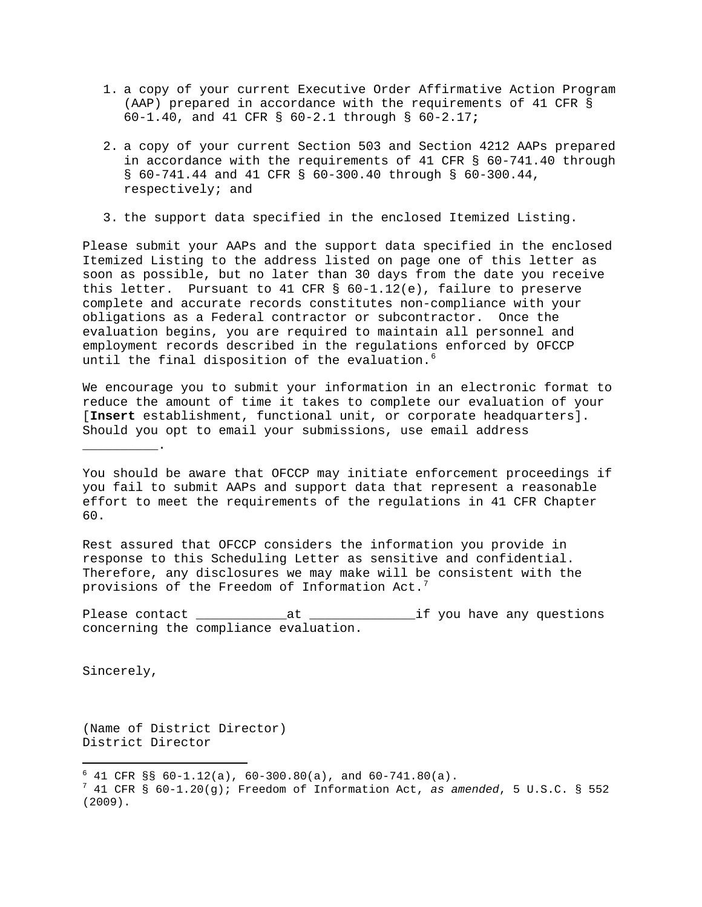- 1. a copy of your current Executive Order Affirmative Action Program (AAP) prepared in accordance with the requirements of 41 CFR § 60-1.40, and 41 CFR § 60-2.1 through § 60-2.17**;**
- 2. a copy of your current Section 503 and Section 4212 AAPs prepared in accordance with the requirements of 41 CFR § 60-741.40 through § 60-741.44 and 41 CFR § 60-300.40 through § 60-300.44, respectively; and
- 3. the support data specified in the enclosed Itemized Listing.

Please submit your AAPs and the support data specified in the enclosed Itemized Listing to the address listed on page one of this letter as soon as possible, but no later than 30 days from the date you receive this letter. Pursuant to 41 CFR  $\S$  60-1.12(e), failure to preserve complete and accurate records constitutes non-compliance with your obligations as a Federal contractor or subcontractor. Once the evaluation begins, you are required to maintain all personnel and employment records described in the regulations enforced by OFCCP until the final disposition of the evaluation.<sup>[6](#page-1-0)</sup>

We encourage you to submit your information in an electronic format to reduce the amount of time it takes to complete our evaluation of your [**Insert** establishment, functional unit, or corporate headquarters]. Should you opt to email your submissions, use email address

You should be aware that OFCCP may initiate enforcement proceedings if you fail to submit AAPs and support data that represent a reasonable effort to meet the requirements of the regulations in 41 CFR Chapter 60.

Rest assured that OFCCP considers the information you provide in response to this Scheduling Letter as sensitive and confidential. Therefore, any disclosures we may make will be consistent with the provisions of the Freedom of Information Act.<sup>[7](#page-1-1)</sup>

Please contact \_\_\_\_\_\_\_\_\_\_\_\_\_\_at \_\_\_\_\_\_\_\_\_\_\_\_\_\_\_\_\_if you have any questions concerning the compliance evaluation.

Sincerely,

\_\_\_\_\_\_\_\_\_\_.

(Name of District Director) District Director

<span id="page-1-0"></span> $6$  41 CFR SS 60-1.12(a), 60-300.80(a), and 60-741.80(a).

<span id="page-1-1"></span> $\frac{7}{1}$  41 CFR § 60-1.20(g); Freedom of Information Act, as amended, 5 U.S.C. § 552 (2009).